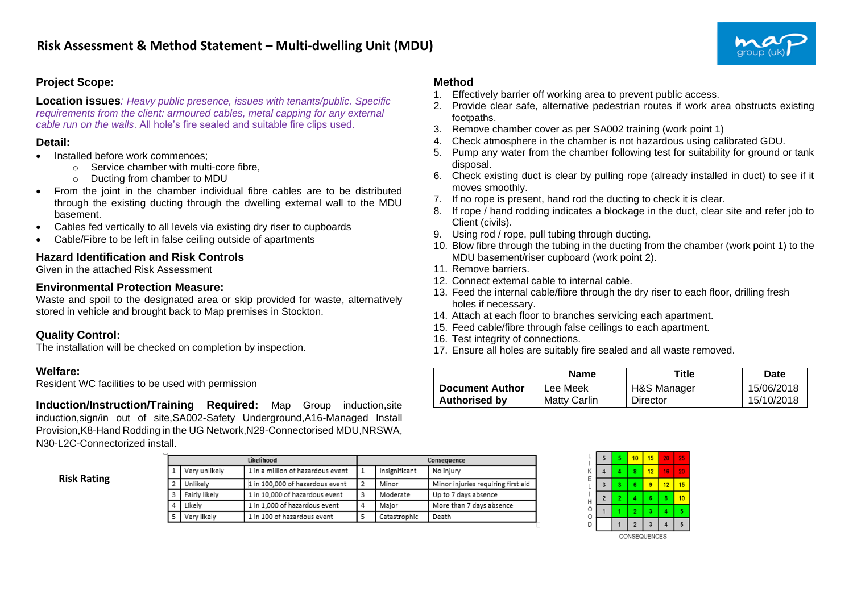# **Project Scope:**

**Location issues***: Heavy public presence, issues with tenants/public. Specific requirements from the client: armoured cables, metal capping for any external cable run on the walls*. All hole's fire sealed and suitable fire clips used.

#### **Detail:**

- Installed before work commences:
	- o Service chamber with multi-core fibre,
	- o Ducting from chamber to MDU
- From the joint in the chamber individual fibre cables are to be distributed through the existing ducting through the dwelling external wall to the MDU basement.
- Cables fed vertically to all levels via existing dry riser to cupboards
- Cable/Fibre to be left in false ceiling outside of apartments

## **Hazard Identification and Risk Controls**

Given in the attached Risk Assessment

### **Environmental Protection Measure:**

Waste and spoil to the designated area or skip provided for waste, alternatively stored in vehicle and brought back to Map premises in Stockton.

## **Quality Control:**

The installation will be checked on completion by inspection.

## **Welfare:**

Resident WC facilities to be used with permission

**Induction/Instruction/Training Required:** Map Group induction,site induction,sign/in out of site,SA002-Safety Underground,A16-Managed Install Provision,K8-Hand Rodding in the UG Network,N29-Connectorised MDU,NRSWA, N30-L2C-Connectorized install.

#### **Risk Rating**

|  |               | Likelihood                        | Consequence    |               |                                    |  |  |  |  |
|--|---------------|-----------------------------------|----------------|---------------|------------------------------------|--|--|--|--|
|  | Very unlikely | 1 in a million of hazardous event |                | Insignificant | No injury                          |  |  |  |  |
|  | Unlikelv      | 1 in 100,000 of hazardous event   | $\overline{2}$ | Minor         | Minor injuries requiring first aid |  |  |  |  |
|  | Fairly likely | 1 in 10,000 of hazardous event    | 3              | Moderate      | Up to 7 days absence               |  |  |  |  |
|  | Likelv        | 1 in 1,000 of hazardous event     | 4              | Major         | More than 7 days absence           |  |  |  |  |
|  | Very likely   | 1 in 100 of hazardous event       | 5              | Catastrophic  | Death                              |  |  |  |  |

## **Method**

- 1. Effectively barrier off working area to prevent public access.
- 2. Provide clear safe, alternative pedestrian routes if work area obstructs existing footpaths.
- 3. Remove chamber cover as per SA002 training (work point 1)
- 4. Check atmosphere in the chamber is not hazardous using calibrated GDU.
- 5. Pump any water from the chamber following test for suitability for ground or tank disposal.
- 6. Check existing duct is clear by pulling rope (already installed in duct) to see if it moves smoothly.
- 7. If no rope is present, hand rod the ducting to check it is clear.
- 8. If rope / hand rodding indicates a blockage in the duct, clear site and refer job to Client (civils).
- 9. Using rod / rope, pull tubing through ducting.
- 10. Blow fibre through the tubing in the ducting from the chamber (work point 1) to the MDU basement/riser cupboard (work point 2).
- 11. Remove barriers.
- 12. Connect external cable to internal cable.
- 13. Feed the internal cable/fibre through the dry riser to each floor, drilling fresh holes if necessary.
- 14. Attach at each floor to branches servicing each apartment.
- 15. Feed cable/fibre through false ceilings to each apartment.
- 16. Test integrity of connections.
- 17. Ensure all holes are suitably fire sealed and all waste removed.

|                        | <b>Name</b>            | Title       | Date       |
|------------------------|------------------------|-------------|------------|
| <b>Document Author</b> | ' <sub>-</sub> ee Meek | H&S Manager | 15/06/2018 |
| <b>Authorised by</b>   | Matty Carlin           | Director    | 15/10/2018 |

| L           | 5              | 5              | 10             | 15           | 20 | 25 |
|-------------|----------------|----------------|----------------|--------------|----|----|
| K<br>E      | 4              | 4              | 8              | 12           | 16 | 20 |
| L           | 3              | 3              | 6              | 9            | 12 | 15 |
|             | $\overline{2}$ | $\overline{2}$ | 4              | 6            | 8  | 10 |
| H<br>O<br>0 |                |                | $\overline{2}$ | 3            | 4  | 5  |
| D           |                |                | $\overline{2}$ | 3            |    | 5  |
|             |                |                |                | CONSEQUENCES |    |    |

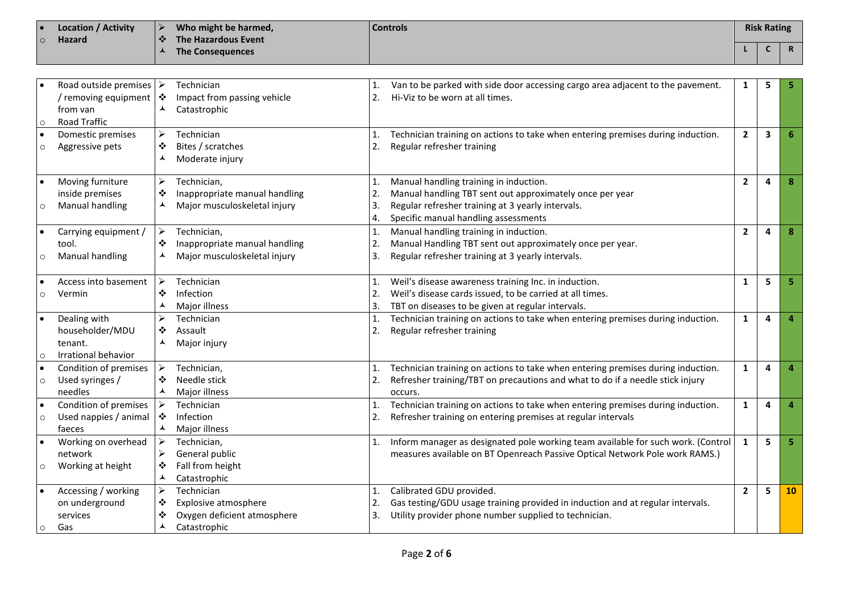| <b>Location / Activity</b> | Who might be harmed,               | <b>Controls</b> | <b>Risk Rating</b> |  |
|----------------------------|------------------------------------|-----------------|--------------------|--|
| <b>Hazard</b>              | The Hazardous Event<br>$\bullet$ . |                 |                    |  |
|                            | The Consequences                   |                 |                    |  |

| $\circ$              | Road outside premises<br>/ removing equipment<br>from van<br>Road Traffic | ➤<br>❖<br>▴                                              | Technician<br>Impact from passing vehicle<br>Catastrophic                         | 1.<br>2.                               | Van to be parked with side door accessing cargo area adjacent to the pavement.<br>Hi-Viz to be worn at all times.                                                                               | 1              | 5 |                |
|----------------------|---------------------------------------------------------------------------|----------------------------------------------------------|-----------------------------------------------------------------------------------|----------------------------------------|-------------------------------------------------------------------------------------------------------------------------------------------------------------------------------------------------|----------------|---|----------------|
| $\bullet$<br>$\circ$ | Domestic premises<br>Aggressive pets                                      | ➤<br>❖                                                   | Technician<br>Bites / scratches<br>Moderate injury                                | 1.<br>2.                               | Technician training on actions to take when entering premises during induction.<br>Regular refresher training                                                                                   | $\overline{2}$ | 3 | 6              |
| $\bullet$<br>$\circ$ | Moving furniture<br>inside premises<br>Manual handling                    | ≻<br>❖<br>▴                                              | Technician,<br>Inappropriate manual handling<br>Major musculoskeletal injury      | 1.<br>2.<br>3.<br>4.                   | Manual handling training in induction.<br>Manual handling TBT sent out approximately once per year<br>Regular refresher training at 3 yearly intervals.<br>Specific manual handling assessments | $\overline{2}$ | 4 | 8              |
| $\bullet$<br>$\circ$ | Carrying equipment /<br>tool.<br>Manual handling                          | ➤<br>❖<br>▴                                              | Technician,<br>Inappropriate manual handling<br>Major musculoskeletal injury      | $\mathbf{1}$<br>2.<br>3.               | Manual handling training in induction.<br>Manual Handling TBT sent out approximately once per year.<br>Regular refresher training at 3 yearly intervals.                                        | $\overline{2}$ | 4 | 8              |
| $\Omega$             | Access into basement<br>Vermin                                            | $\blacktriangleright$<br>❖<br>▴                          | Technician<br>Infection<br>Major illness                                          | $\mathbf{1}$ .<br>$\overline{2}$<br>3. | Weil's disease awareness training Inc. in induction.<br>Weil's disease cards issued, to be carried at all times.<br>TBT on diseases to be given at regular intervals.                           | $\mathbf{1}$   | 5 | 5              |
| $\bullet$<br>$\circ$ | Dealing with<br>householder/MDU<br>tenant.<br>Irrational behavior         | ⋗<br>❖<br>▴                                              | Technician<br>Assault<br>Major injury                                             | 1.<br>2.                               | Technician training on actions to take when entering premises during induction.<br>Regular refresher training                                                                                   | $\mathbf{1}$   | 4 | 4              |
| $\bullet$<br>$\circ$ | Condition of premises<br>Used syringes /<br>needles                       | ≻<br>❖<br>⋏                                              | Technician,<br>Needle stick<br>Major illness                                      | 1.<br>2.                               | Technician training on actions to take when entering premises during induction.<br>Refresher training/TBT on precautions and what to do if a needle stick injury<br>occurs.                     | 1              | 4 | 4              |
| $\bullet$<br>$\circ$ | Condition of premises<br>Used nappies / animal<br>faeces                  | $\blacktriangleright$<br>$\bullet$<br>$\blacktriangle$   | Technician<br>Infection<br>Major illness                                          | 1.<br>2.                               | Technician training on actions to take when entering premises during induction.<br>Refresher training on entering premises at regular intervals                                                 | $\mathbf{1}$   | 4 | $\overline{a}$ |
| $\circ$              | Working on overhead<br>network<br>Working at height                       | $\blacktriangleright$<br>$\blacktriangleright$<br>❖<br>⅄ | Technician,<br>General public<br>Fall from height<br>Catastrophic                 | 1.                                     | Inform manager as designated pole working team available for such work. (Control<br>measures available on BT Openreach Passive Optical Network Pole work RAMS.)                                 | $\mathbf{1}$   | 5 | 5              |
| $\circ$              | Accessing / working<br>on underground<br>services<br>Gas                  | ➤<br>❖<br>❖<br>⋏                                         | Technician<br>Explosive atmosphere<br>Oxygen deficient atmosphere<br>Catastrophic | 1.<br>2.<br>3.                         | Calibrated GDU provided.<br>Gas testing/GDU usage training provided in induction and at regular intervals.<br>Utility provider phone number supplied to technician.                             | $\overline{2}$ | 5 | <b>10</b>      |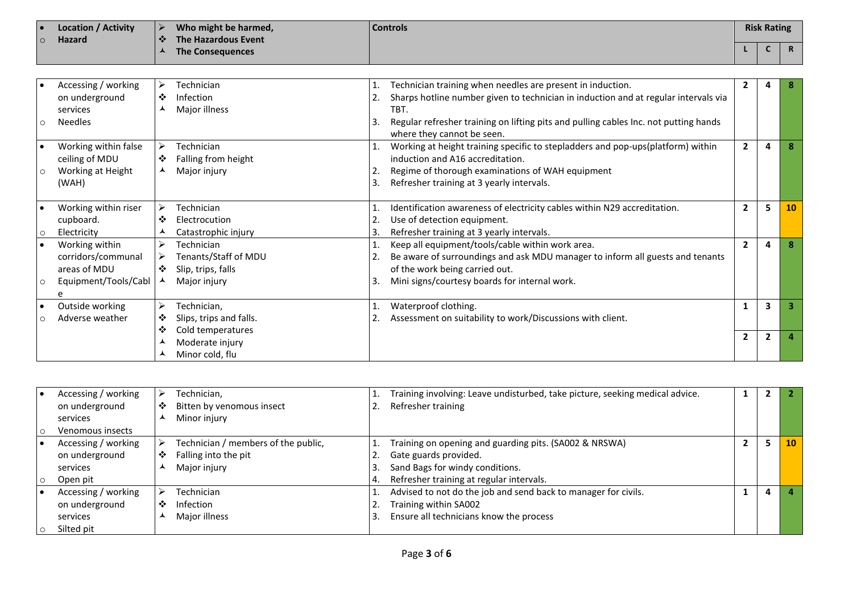|     | <b>Location / Activity</b> |                      | Who might be harmed, | <b>Controls</b> | <b>Risk Rating</b> |   |
|-----|----------------------------|----------------------|----------------------|-----------------|--------------------|---|
| l O | <b>Hazard</b>              | $\bullet$            | The Hazardous Event  |                 |                    |   |
|     |                            | $\ddot{\phantom{1}}$ | The Consequences     |                 |                    | n |

|         | Accessing / working  | ⋗ | Technician              |    | Technician training when needles are present in induction.                           | 2              |                |    |
|---------|----------------------|---|-------------------------|----|--------------------------------------------------------------------------------------|----------------|----------------|----|
|         | on underground       | ❖ | Infection               |    | Sharps hotline number given to technician in induction and at regular intervals via  |                |                |    |
|         | services             | ▴ | Major illness           |    | TBT.                                                                                 |                |                |    |
| $\circ$ | <b>Needles</b>       |   |                         | 3. | Regular refresher training on lifting pits and pulling cables Inc. not putting hands |                |                |    |
|         |                      |   |                         |    | where they cannot be seen.                                                           |                |                |    |
|         | Working within false | ➤ | Technician              |    | Working at height training specific to stepladders and pop-ups(platform) within      | 2              | 4              |    |
|         | ceiling of MDU       | ❖ | Falling from height     |    | induction and A16 accreditation.                                                     |                |                |    |
| $\circ$ | Working at Height    | ▴ | Major injury            |    | Regime of thorough examinations of WAH equipment                                     |                |                |    |
|         | (WAH)                |   |                         | 3. | Refresher training at 3 yearly intervals.                                            |                |                |    |
|         |                      |   |                         |    |                                                                                      |                |                |    |
|         | Working within riser | ➤ | Technician              |    | Identification awareness of electricity cables within N29 accreditation.             | $\mathbf{2}$   | 5              | 10 |
|         | cupboard.            | ❖ | Electrocution           |    | Use of detection equipment.                                                          |                |                |    |
| $\circ$ | Electricity          | ᆺ | Catastrophic injury     |    | Refresher training at 3 yearly intervals.                                            |                |                |    |
|         | Working within       | ⋗ | Technician              |    | Keep all equipment/tools/cable within work area.                                     | 2              | 4              |    |
|         | corridors/communal   | ⋗ | Tenants/Staff of MDU    |    | Be aware of surroundings and ask MDU manager to inform all guests and tenants        |                |                |    |
|         | areas of MDU         | ❖ | Slip, trips, falls      |    | of the work being carried out.                                                       |                |                |    |
| $\circ$ | Equipment/Tools/Cabl | ▲ | Major injury            | 3. | Mini signs/courtesy boards for internal work.                                        |                |                |    |
|         | e                    |   |                         |    |                                                                                      |                |                |    |
|         | Outside working      | ⋗ | Technician,             |    | Waterproof clothing.                                                                 |                | $\mathbf{3}$   |    |
| $\circ$ | Adverse weather      | ❖ | Slips, trips and falls. |    | Assessment on suitability to work/Discussions with client.                           |                |                |    |
|         |                      | ❖ | Cold temperatures       |    |                                                                                      | $\overline{2}$ | $\overline{2}$ |    |
|         |                      |   | Moderate injury         |    |                                                                                      |                |                |    |
|         |                      |   | Minor cold, flu         |    |                                                                                      |                |                |    |

| Accessing / working |   | Technician,                         | Training involving: Leave undisturbed, take picture, seeking medical advice. |   |           |
|---------------------|---|-------------------------------------|------------------------------------------------------------------------------|---|-----------|
| on underground      | ❖ | Bitten by venomous insect           | Refresher training                                                           |   |           |
| services            |   | Minor injury                        |                                                                              |   |           |
| Venomous insects    |   |                                     |                                                                              |   |           |
| Accessing / working |   | Technician / members of the public, | Training on opening and guarding pits. (SA002 & NRSWA)                       |   | <b>10</b> |
| on underground      | ❖ | Falling into the pit                | Gate guards provided.                                                        |   |           |
| services            |   | Major injury                        | Sand Bags for windy conditions.                                              |   |           |
| Open pit            |   |                                     | Refresher training at regular intervals.                                     |   |           |
| Accessing / working |   | Technician                          | Advised to not do the job and send back to manager for civils.               | 4 |           |
| on underground      | ❖ | Infection                           | Training within SA002                                                        |   |           |
| services            |   | Major illness                       | Ensure all technicians know the process                                      |   |           |
| Silted pit          |   |                                     |                                                                              |   |           |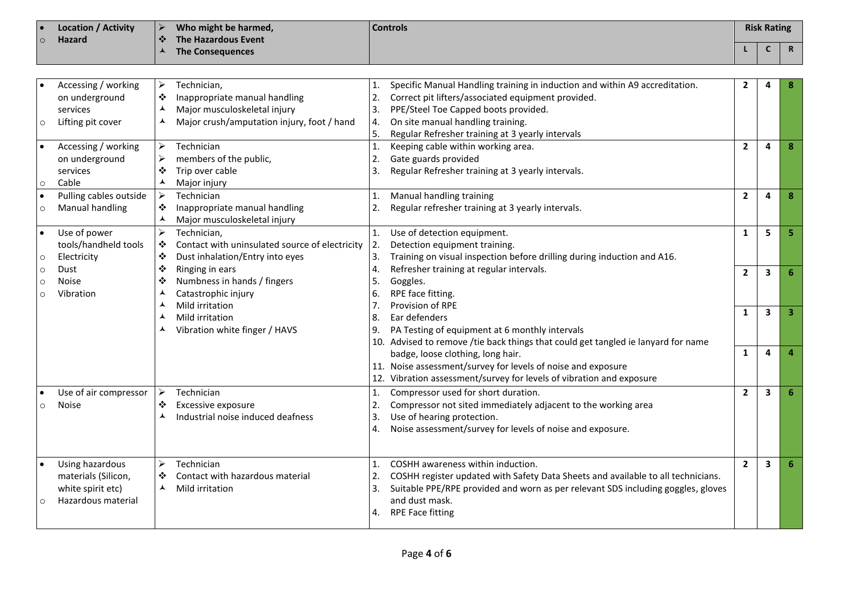| Location / Activity<br>∣ ● | Who might be harmed,    | <b>Controls</b> | <b>Risk Rating</b> |              |
|----------------------------|-------------------------|-----------------|--------------------|--------------|
| Hazard<br>$\circ$          | The Hazardous Event     |                 |                    |              |
|                            | <b>The Consequences</b> |                 |                    | $\mathsf{R}$ |

|          | Accessing / working    | ➤                     | Technician,                                    | 1.             | Specific Manual Handling training in induction and within A9 accreditation.       | 2              |                         |   |
|----------|------------------------|-----------------------|------------------------------------------------|----------------|-----------------------------------------------------------------------------------|----------------|-------------------------|---|
|          | on underground         | ❖                     | Inappropriate manual handling                  | 2.             | Correct pit lifters/associated equipment provided.                                |                |                         |   |
|          | services               | ⋏                     | Major musculoskeletal injury                   | 3.             | PPE/Steel Toe Capped boots provided.                                              |                |                         |   |
|          | Lifting pit cover      | ▴                     | Major crush/amputation injury, foot / hand     | 4.             | On site manual handling training.                                                 |                |                         |   |
| O        |                        |                       |                                                | 5.             | Regular Refresher training at 3 yearly intervals                                  |                |                         |   |
|          |                        | $\blacktriangleright$ |                                                |                |                                                                                   |                |                         |   |
|          | Accessing / working    |                       | Technician                                     | 1.             | Keeping cable within working area.                                                | $\overline{2}$ | 4                       | 8 |
|          | on underground         | $\blacktriangleright$ | members of the public,                         | 2.             | Gate guards provided                                                              |                |                         |   |
|          | services               | ❖                     | Trip over cable                                | 3.             | Regular Refresher training at 3 yearly intervals.                                 |                |                         |   |
| $\circ$  | Cable                  | ⋏                     | Major injury                                   |                |                                                                                   |                |                         |   |
|          | Pulling cables outside | $\blacktriangleright$ | Technician                                     | 1.             | Manual handling training                                                          | $\overline{2}$ | 4                       | 8 |
|          | <b>Manual handling</b> | ❖                     | Inappropriate manual handling                  | 2.             | Regular refresher training at 3 yearly intervals.                                 |                |                         |   |
|          |                        | ▲                     | Major musculoskeletal injury                   |                |                                                                                   |                |                         |   |
|          | Use of power           | $\blacktriangleright$ | Technician,                                    | $\mathbf{1}$ . | Use of detection equipment.                                                       | $\mathbf{1}$   | 5                       |   |
|          | tools/handheld tools   | ❖                     | Contact with uninsulated source of electricity | 2.             | Detection equipment training.                                                     |                |                         |   |
| O        | Electricity            | ❖                     | Dust inhalation/Entry into eyes                | 3.             | Training on visual inspection before drilling during induction and A16.           |                |                         |   |
| $\circ$  | Dust                   | ❖                     | Ringing in ears                                | 4.             | Refresher training at regular intervals.                                          | $\overline{2}$ | 3                       | 6 |
| $\Omega$ | <b>Noise</b>           | ❖                     | Numbness in hands / fingers                    | 5.             | Goggles.                                                                          |                |                         |   |
|          | Vibration              | ▴                     | Catastrophic injury                            | 6.             | RPE face fitting.                                                                 |                |                         |   |
|          |                        | ▴                     | Mild irritation                                | 7.             | Provision of RPE                                                                  | 1              | $\overline{\mathbf{3}}$ |   |
|          |                        | ▴                     | Mild irritation                                | 8.             | Ear defenders                                                                     |                |                         |   |
|          |                        |                       | Vibration white finger / HAVS                  | 9.             | PA Testing of equipment at 6 monthly intervals                                    |                |                         |   |
|          |                        |                       |                                                |                | 10. Advised to remove /tie back things that could get tangled ie lanyard for name |                |                         |   |
|          |                        |                       |                                                |                | badge, loose clothing, long hair.                                                 | $\mathbf{1}$   | 4                       |   |
|          |                        |                       |                                                |                | 11. Noise assessment/survey for levels of noise and exposure                      |                |                         |   |
|          |                        |                       |                                                |                | 12. Vibration assessment/survey for levels of vibration and exposure              |                |                         |   |
|          | Use of air compressor  | ➤                     | Technician                                     | 1.             | Compressor used for short duration.                                               | $\overline{2}$ | 3                       | 6 |
|          | Noise                  | ❖                     | Excessive exposure                             | 2.             | Compressor not sited immediately adjacent to the working area                     |                |                         |   |
|          |                        | ▴                     | Industrial noise induced deafness              | 3.             | Use of hearing protection.                                                        |                |                         |   |
|          |                        |                       |                                                | 4.             | Noise assessment/survey for levels of noise and exposure.                         |                |                         |   |
|          |                        |                       |                                                |                |                                                                                   |                |                         |   |
|          |                        |                       |                                                |                |                                                                                   |                |                         |   |
|          | Using hazardous        | ➤                     | Technician                                     | 1.             | COSHH awareness within induction.                                                 | $\overline{2}$ | $\overline{\mathbf{3}}$ | 6 |
|          | materials (Silicon,    | ❖                     | Contact with hazardous material                |                | COSHH register updated with Safety Data Sheets and available to all technicians.  |                |                         |   |
|          | white spirit etc)      | ▴                     | Mild irritation                                | 3.             | Suitable PPE/RPE provided and worn as per relevant SDS including goggles, gloves  |                |                         |   |
|          | Hazardous material     |                       |                                                |                | and dust mask.                                                                    |                |                         |   |
|          |                        |                       |                                                |                | <b>RPE Face fitting</b>                                                           |                |                         |   |
|          |                        |                       |                                                |                |                                                                                   |                |                         |   |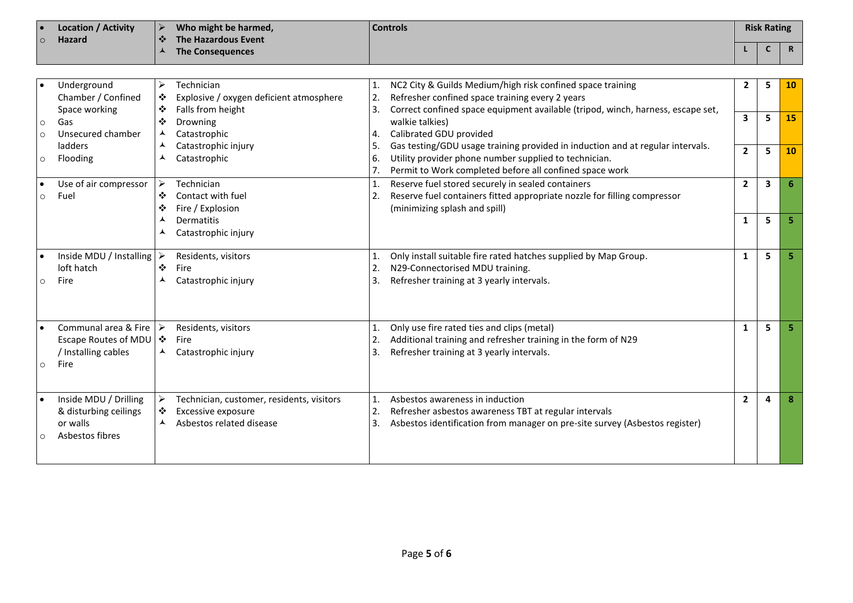|           | <b>Location / Activity</b>               | <b>Controls</b><br>➤<br>Who might be harmed,<br><b>The Hazardous Event</b><br>❖ |                                           |                | <b>Risk Rating</b>                                                              |                         |   |              |
|-----------|------------------------------------------|---------------------------------------------------------------------------------|-------------------------------------------|----------------|---------------------------------------------------------------------------------|-------------------------|---|--------------|
| $\Omega$  | <b>Hazard</b>                            | ⋏                                                                               |                                           |                |                                                                                 |                         | C | $\mathsf{R}$ |
|           |                                          |                                                                                 | <b>The Consequences</b>                   |                |                                                                                 |                         |   |              |
|           |                                          |                                                                                 |                                           |                |                                                                                 |                         |   |              |
|           | Underground                              | ➤                                                                               | Technician                                | 1.             | NC2 City & Guilds Medium/high risk confined space training                      | $\overline{2}$          | 5 | 10           |
|           | Chamber / Confined                       | ❖                                                                               | Explosive / oxygen deficient atmosphere   | 2.             | Refresher confined space training every 2 years                                 |                         |   |              |
|           | Space working                            | ❖                                                                               | Falls from height                         |                | Correct confined space equipment available (tripod, winch, harness, escape set, |                         |   |              |
| $\circ$   | Gas                                      | ❖                                                                               | Drowning                                  |                | walkie talkies)                                                                 | $\overline{\mathbf{3}}$ | 5 | 15           |
| $\circ$   | Unsecured chamber                        | ▴                                                                               | Catastrophic                              | 4.             | Calibrated GDU provided                                                         |                         |   |              |
|           | ladders                                  | ▴                                                                               | Catastrophic injury                       | 5.             | Gas testing/GDU usage training provided in induction and at regular intervals.  | $\overline{2}$          | 5 | 10           |
| $\circ$   | Flooding                                 | ▴                                                                               | Catastrophic                              | 6.             | Utility provider phone number supplied to technician.                           |                         |   |              |
|           |                                          |                                                                                 |                                           | 7.             | Permit to Work completed before all confined space work                         |                         |   |              |
| $\bullet$ | Use of air compressor                    | $\blacktriangleright$                                                           | Technician                                | 1.             | Reserve fuel stored securely in sealed containers                               | $\overline{2}$          | 3 |              |
| $\circ$   | Fuel                                     | ❖                                                                               | Contact with fuel                         | 2.             | Reserve fuel containers fitted appropriate nozzle for filling compressor        |                         |   |              |
|           |                                          | ❖                                                                               | Fire / Explosion                          |                | (minimizing splash and spill)                                                   |                         |   |              |
|           |                                          | ▴                                                                               | Dermatitis                                |                |                                                                                 | $\mathbf{1}$            | 5 |              |
|           |                                          |                                                                                 | Catastrophic injury                       |                |                                                                                 |                         |   |              |
|           |                                          |                                                                                 |                                           |                |                                                                                 |                         |   |              |
|           | Inside MDU / Installing $\triangleright$ |                                                                                 | Residents, visitors                       | 1.             | Only install suitable fire rated hatches supplied by Map Group.                 | $\mathbf{1}$            | 5 |              |
|           | loft hatch                               | ❖                                                                               | Fire                                      | 2.             | N29-Connectorised MDU training.                                                 |                         |   |              |
| $\circ$   | Fire                                     | ▴                                                                               | Catastrophic injury                       | 3.             | Refresher training at 3 yearly intervals.                                       |                         |   |              |
|           |                                          |                                                                                 |                                           |                |                                                                                 |                         |   |              |
|           |                                          |                                                                                 |                                           |                |                                                                                 |                         |   |              |
|           |                                          |                                                                                 |                                           |                |                                                                                 |                         |   |              |
|           | Communal area & Fire                     | ≻                                                                               | Residents, visitors                       | 1.             | Only use fire rated ties and clips (metal)                                      | $\mathbf{1}$            | 5 |              |
|           | Escape Routes of MDU   ❖                 |                                                                                 | Fire                                      | 2.             | Additional training and refresher training in the form of N29                   |                         |   |              |
|           | / Installing cables                      |                                                                                 | Catastrophic injury                       | 3.             | Refresher training at 3 yearly intervals.                                       |                         |   |              |
| $\circ$   | Fire                                     |                                                                                 |                                           |                |                                                                                 |                         |   |              |
|           |                                          |                                                                                 |                                           |                |                                                                                 |                         |   |              |
|           | Inside MDU / Drilling                    | ➤                                                                               | Technician, customer, residents, visitors | $\mathbf{1}$ . | Asbestos awareness in induction                                                 | $\mathbf{2}$            | 4 | 8            |
|           | & disturbing ceilings                    | ❖                                                                               | Excessive exposure                        | 2.             | Refresher asbestos awareness TBT at regular intervals                           |                         |   |              |
|           | or walls                                 |                                                                                 | Asbestos related disease                  | 3.             | Asbestos identification from manager on pre-site survey (Asbestos register)     |                         |   |              |
| $\circ$   | Asbestos fibres                          |                                                                                 |                                           |                |                                                                                 |                         |   |              |
|           |                                          |                                                                                 |                                           |                |                                                                                 |                         |   |              |
|           |                                          |                                                                                 |                                           |                |                                                                                 |                         |   |              |